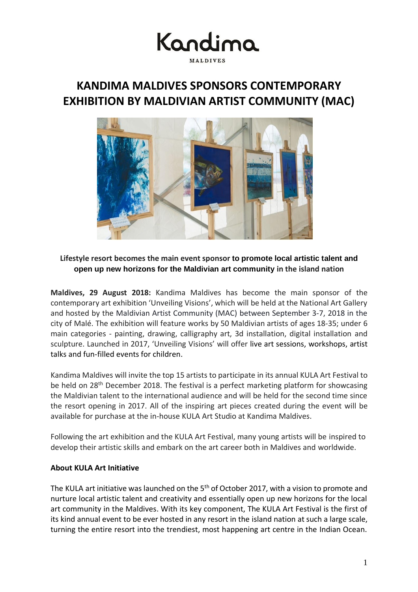

## **KANDIMA MALDIVES SPONSORS CONTEMPORARY EXHIBITION BY MALDIVIAN ARTIST COMMUNITY (MAC)**



### **Lifestyle resort becomes the main event sponsor to promote local artistic talent and open up new horizons for the Maldivian art community in the island nation**

**Maldives, 29 August 2018:** Kandima Maldives has become the main sponsor of the contemporary art exhibition 'Unveiling Visions', which will be held at the National Art Gallery and hosted by the Maldivian Artist Community (MAC) between September 3-7, 2018 in the city of Malé. The exhibition will feature works by 50 Maldivian artists of ages 18-35; under 6 main categories - painting, drawing, calligraphy art, 3d installation, digital installation and sculpture. Launched in 2017, 'Unveiling Visions' will offer live art sessions, workshops, artist talks and fun-filled events for children.

Kandima Maldives will invite the top 15 artists to participate in its annual KULA Art Festival to be held on 28<sup>th</sup> December 2018. The festival is a perfect marketing platform for showcasing the Maldivian talent to the international audience and will be held for the second time since the resort opening in 2017. All of the inspiring art pieces created during the event will be available for purchase at the in-house KULA Art Studio at Kandima Maldives.

Following the art exhibition and the KULA Art Festival, many young artists will be inspired to develop their artistic skills and embark on the art career both in Maldives and worldwide.

### **About KULA Art Initiative**

The KULA art initiative was launched on the 5<sup>th</sup> of October 2017, with a vision to promote and nurture local artistic talent and creativity and essentially open up new horizons for the local art community in the Maldives. With its key component, The KULA Art Festival is the first of its kind annual event to be ever hosted in any resort in the island nation at such a large scale, turning the entire resort into the trendiest, most happening art centre in the Indian Ocean.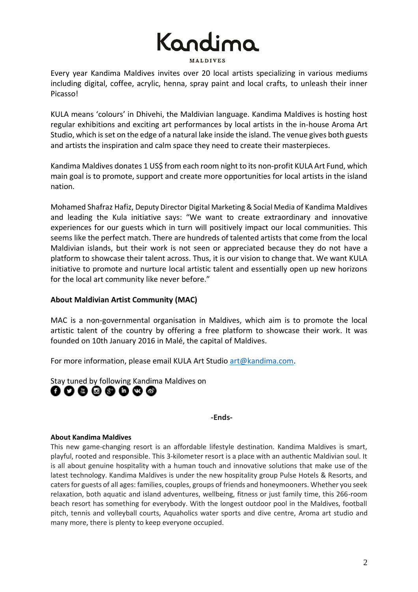# Kandima

**MALDIVES** 

Every year Kandima Maldives invites over 20 local artists specializing in various mediums including digital, coffee, acrylic, henna, spray paint and local crafts, to unleash their inner Picasso!

KULA means 'colours' in Dhivehi, the Maldivian language. Kandima Maldives is hosting host regular exhibitions and exciting art performances by local artists in the in-house Aroma Art Studio, which is set on the edge of a natural lake inside the island. The venue gives both guests and artists the inspiration and calm space they need to create their masterpieces.

Kandima Maldives donates 1 US\$ from each room night to its non-profit KULA Art Fund, which main goal is to promote, support and create more opportunities for local artists in the island nation.

Mohamed Shafraz Hafiz, Deputy Director Digital Marketing & Social Media of Kandima Maldives and leading the Kula initiative says: "We want to create extraordinary and innovative experiences for our guests which in turn will positively impact our local communities. This seems like the perfect match. There are hundreds of talented artists that come from the local Maldivian islands, but their work is not seen or appreciated because they do not have a platform to showcase their talent across. Thus, it is our vision to change that. We want KULA initiative to promote and nurture local artistic talent and essentially open up new horizons for the local art community like never before."

### **About Maldivian Artist Community (MAC)**

MAC is a non-governmental organisation in Maldives, which aim is to promote the local artistic talent of the country by offering a free platform to showcase their work. It was founded on 10th January 2016 in Malé, the capital of Maldives.

For more information, please email KULA Art Studio [art@kandima.com.](mailto:art@kandima.com)

Stay tuned by following Kandima Maldives on ........

**-Ends-**

### **About Kandima Maldives**

This new game-changing resort is an affordable lifestyle destination. Kandima Maldives is smart, playful, rooted and responsible. This 3-kilometer resort is a place with an authentic Maldivian soul. It is all about genuine hospitality with a human touch and innovative solutions that make use of the latest technology. Kandima Maldives is under the new hospitality group Pulse Hotels & Resorts, and caters for guests of all ages: families, couples, groups of friends and honeymooners. Whether you seek relaxation, both aquatic and island adventures, wellbeing, fitness or just family time, this 266-room beach resort has something for everybody. With the longest outdoor pool in the Maldives, football pitch, tennis and volleyball courts, Aquaholics water sports and dive centre, Aroma art studio and many more, there is plenty to keep everyone occupied.